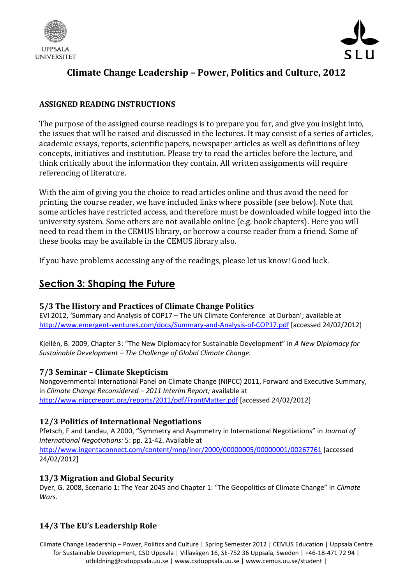



# **Climate Change Leadership – Power, Politics and Culture, 2012**

# **ASSIGNED READING INSTRUCTIONS**

The purpose of the assigned course readings is to prepare you for, and give you insight into, the issues that will be raised and discussed in the lectures. It may consist of a series of articles, academic essays, reports, scientific papers, newspaper articles as well as definitions of key concepts, initiatives and institution. Please try to read the articles before the lecture, and think critically about the information they contain. All written assignments will require referencing of literature.

With the aim of giving you the choice to read articles online and thus avoid the need for printing the course reader, we have included links where possible (see below). Note that some articles have restricted access, and therefore must be downloaded while logged into the university system. Some others are not available online (e.g. book chapters). Here you will need to read them in the CEMUS library, or borrow a course reader from a friend. Some of these books may be available in the CEMUS library also.

If you have problems accessing any of the readings, please let us know! Good luck.

# **Section 3: Shaping the Future**

#### **5/3 The History and Practices of Climate Change Politics**

EVI 2012, 'Summary and Analysis of COP17 – The UN Climate Conference at Durban'; available at <http://www.emergent-ventures.com/docs/Summary-and-Analysis-of-COP17.pdf> [accessed 24/02/2012]

Kjellén, B. 2009, Chapter 3: "The New Diplomacy for Sustainable Development" in *A New Diplomacy for Sustainable Development – The Challenge of Global Climate Change.*

#### **7/3 Seminar – Climate Skepticism**

Nongovernmental International Panel on Climate Change (NIPCC) 2011, Forward and Executive Summary, in *Climate Change Reconsidered – 2011 Interim Report;* available at <http://www.nipccreport.org/reports/2011/pdf/FrontMatter.pdf> [accessed 24/02/2012]

#### **12/3 Politics of International Negotiations**

Pfetsch, F and Landau, A 2000, "Symmetry and Asymmetry in International Negotiations" in *Journal of International Negotiations:* 5: pp. 21-42. Available at <http://www.ingentaconnect.com/content/mnp/iner/2000/00000005/00000001/00267761> [accessed 24/02/2012]

#### **13/3 Migration and Global Security**

Dyer, G. 2008, Scenario 1: The Year 2045 and Chapter 1: "The Geopolitics of Climate Change" in *Climate Wars.*

#### **14/3 The EU's Leadership Role**

Climate Change Leadership – Power, Politics and Culture | Spring Semester 2012 | CEMUS Education | Uppsala Centre for Sustainable Development, CSD Uppsala | Villavägen 16, SE-752 36 Uppsala, Sweden | +46-18-471 72 94 | utbildning@csduppsala.uu.se | www.csduppsala.uu.se | www.cemus.uu.se/student |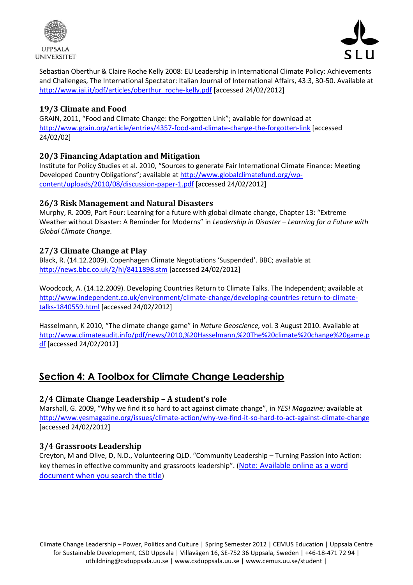



Sebastian Oberthur & Claire Roche Kelly 2008: EU Leadership in International Climate Policy: Achievements and Challenges, The International Spectator: Italian Journal of International Affairs, 43:3, 30-50. Available at [http://www.iai.it/pdf/articles/oberthur\\_roche-kelly.pdf](http://www.iai.it/pdf/articles/oberthur_roche-kelly.pdf) [accessed 24/02/2012]

#### **19/3 Climate and Food**

GRAIN, 2011, "Food and Climate Change: the Forgotten Link"; available for download at <http://www.grain.org/article/entries/4357-food-and-climate-change-the-forgotten-link> [accessed 24/02/02]

# **20/3 Financing Adaptation and Mitigation**

Institute for Policy Studies et al. 2010, "Sources to generate Fair International Climate Finance: Meeting Developed Country Obligations"; available a[t http://www.globalclimatefund.org/wp](http://www.globalclimatefund.org/wp-content/uploads/2010/08/discussion-paper-1.pdf)[content/uploads/2010/08/discussion-paper-1.pdf](http://www.globalclimatefund.org/wp-content/uploads/2010/08/discussion-paper-1.pdf) [accessed 24/02/2012]

## **26/3 Risk Management and Natural Disasters**

Murphy, R. 2009, Part Four: Learning for a future with global climate change, Chapter 13: "Extreme Weather without Disaster: A Reminder for Moderns" in *Leadership in Disaster – Learning for a Future with Global Climate Change*.

## **27/3 Climate Change at Play**

Black, R. (14.12.2009). Copenhagen Climate Negotiations 'Suspended'. BBC; available at <http://news.bbc.co.uk/2/hi/8411898.stm> [accessed 24/02/2012]

Woodcock, A. (14.12.2009). Developing Countries Return to Climate Talks. The Independent; available at [http://www.independent.co.uk/environment/climate-change/developing-countries-return-to-climate](http://www.independent.co.uk/environment/climate-change/developing-countries-return-to-climate-talks-1840559.html)[talks-1840559.html](http://www.independent.co.uk/environment/climate-change/developing-countries-return-to-climate-talks-1840559.html) [accessed 24/02/2012]

Hasselmann, K 2010, "The climate change game" in *Nature Geoscience,* vol. 3 August 2010. Available at [http://www.climateaudit.info/pdf/news/2010,%20Hasselmann,%20The%20climate%20change%20game.p](http://www.climateaudit.info/pdf/news/2010,%20Hasselmann,%20The%20climate%20change%20game.pdf) [df](http://www.climateaudit.info/pdf/news/2010,%20Hasselmann,%20The%20climate%20change%20game.pdf) [accessed 24/02/2012]

# **Section 4: A Toolbox for Climate Change Leadership**

# **2/4 Climate Change Leadership – A student's role**

Marshall, G. 2009, "Why we find it so hard to act against climate change", in *YES! Magazine;* available at <http://www.yesmagazine.org/issues/climate-action/why-we-find-it-so-hard-to-act-against-climate-change> [accessed 24/02/2012]

#### **3/4 Grassroots Leadership**

Creyton, M and Olive, D, N.D., Volunteering QLD. "Community Leadership – Turning Passion into Action: key themes in effective community and grassroots leadership". (Note: Available online as a word document when you search the title)